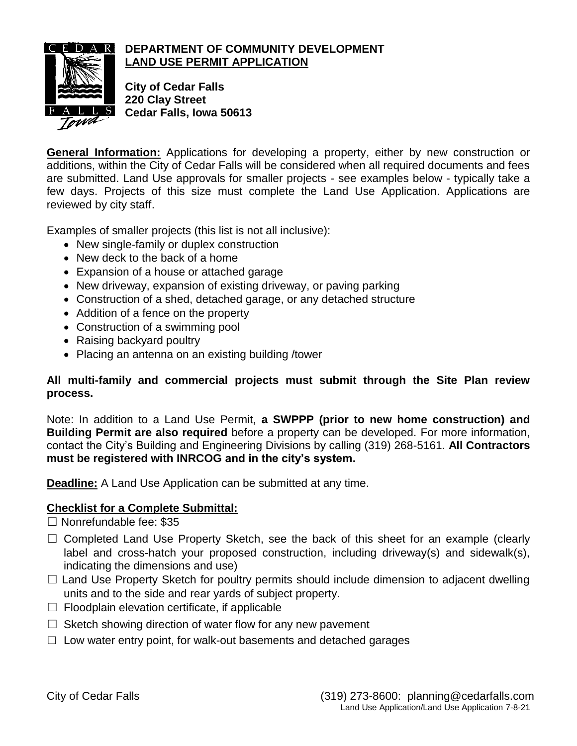

## **DEPARTMENT OF COMMUNITY DEVELOPMENT LAND USE PERMIT APPLICATION**

**City of Cedar Falls 220 Clay Street Cedar Falls, Iowa 50613**

**General Information:** Applications for developing a property, either by new construction or additions, within the City of Cedar Falls will be considered when all required documents and fees are submitted. Land Use approvals for smaller projects - see examples below - typically take a few days. Projects of this size must complete the Land Use Application. Applications are reviewed by city staff.

Examples of smaller projects (this list is not all inclusive):

- New single-family or duplex construction
- New deck to the back of a home
- Expansion of a house or attached garage
- New driveway, expansion of existing driveway, or paving parking
- Construction of a shed, detached garage, or any detached structure
- Addition of a fence on the property
- Construction of a swimming pool
- Raising backyard poultry
- Placing an antenna on an existing building /tower

## **All multi-family and commercial projects must submit through the Site Plan review process.**

Note: In addition to a Land Use Permit, **a SWPPP (prior to new home construction) and Building Permit are also required** before a property can be developed. For more information, contact the City's Building and Engineering Divisions by calling (319) 268-5161. **All Contractors must be registered with INRCOG and in the city's system.**

**Deadline:** A Land Use Application can be submitted at any time.

## **Checklist for a Complete Submittal:**

- ☐ Nonrefundable fee: \$35
- □ Completed Land Use Property Sketch, see the back of this sheet for an example (clearly label and cross-hatch your proposed construction, including driveway(s) and sidewalk(s), indicating the dimensions and use)
- $\Box$  Land Use Property Sketch for poultry permits should include dimension to adjacent dwelling units and to the side and rear yards of subject property.
- $\Box$  Floodplain elevation certificate, if applicable
- $\Box$  Sketch showing direction of water flow for any new pavement
- $\Box$  Low water entry point, for walk-out basements and detached garages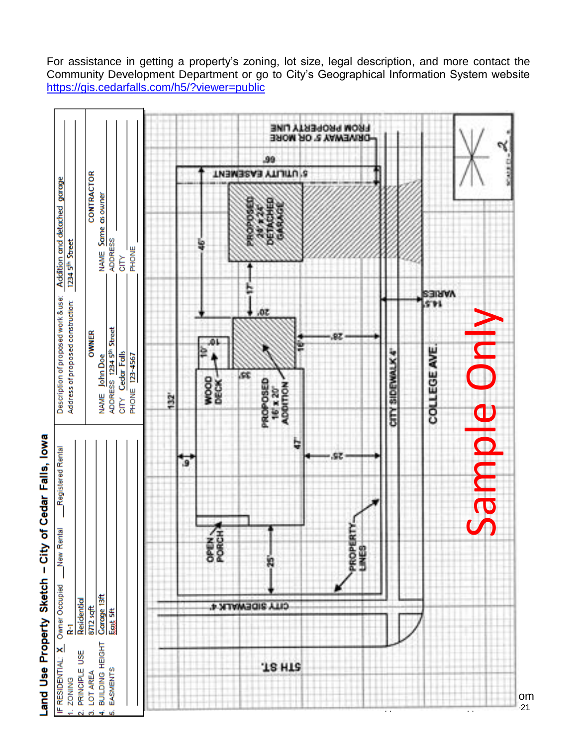**FROM PROPERTY LINE**<br>DRIVEWAY 5' OR MORE .99 S UTILITY EASEMENT CONTRACTOR Description of proposed work & use: Addition and detached garage NAME Same as owner ADDRESS 1234 5<sup>th</sup> Street PHONE CITY **AVEIES** 571 Address of proposed construction: .oz Sample OnlyADDRESS 1234 5<sup>th</sup> Street **OWNER** Sample Onl COLLEGE AVE CITY SIDEWALK 4" Cedar Falls **PHONE 123-4567** John Doe æ. WOOD<br>DECK-ROPOSED 16'x 20"<br>ADDITION **NAME** 132 CITY ų Registered Rental G DREAM PROPERTY New Rental **SHES** £ Owner Occupied Carage 13ft Residential **CITY SIDEWALK 4'** 8712 sqft East 5ft 궅 **JS HIS** City of Cedar Falls (319) 273-8600: planning@cedarfalls.com  $\sim$  21  $\sim$ 

For assistance in getting a property's zoning, lot size, legal description, and more contact the Community Development Department or go to City's Geographical Information System website <https://gis.cedarfalls.com/h5/?viewer=public>